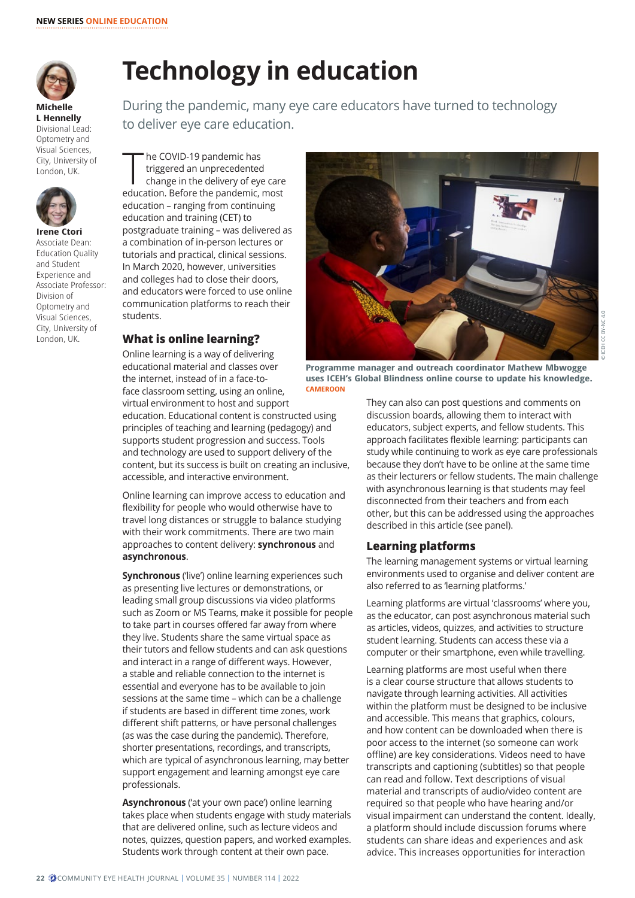

**Michelle L Hennelly**  Divisional Lead: Optometry and Visual Sciences, City, University of London, UK.



Associate Dean: Education Quality and Student Experience and Associate Professor: Division of Optometry and Visual Sciences, City, University of London, UK.

# **Technology in education**

During the pandemic, many eye care educators have turned to technology to deliver eye care education.

The COVID-19 pandemic has<br>triggered an unprecedented<br>change in the delivery of eye triggered an unprecedented change in the delivery of eye care education. Before the pandemic, most education – ranging from continuing education and training (CET) to postgraduate training – was delivered as a combination of in-person lectures or tutorials and practical, clinical sessions. In March 2020, however, universities and colleges had to close their doors, and educators were forced to use online communication platforms to reach their students.

# **What is online learning?**

Online learning is a way of delivering educational material and classes over the internet, instead of in a face-toface classroom setting, using an online,

virtual environment to host and support education. Educational content is constructed using principles of teaching and learning (pedagogy) and supports student progression and success. Tools and technology are used to support delivery of the content, but its success is built on creating an inclusive, accessible, and interactive environment.

Online learning can improve access to education and flexibility for people who would otherwise have to travel long distances or struggle to balance studying with their work commitments. There are two main approaches to content delivery: **synchronous** and **asynchronous**.

**Synchronous** ('live') online learning experiences such as presenting live lectures or demonstrations, or leading small group discussions via video platforms such as Zoom or MS Teams, make it possible for people to take part in courses offered far away from where they live. Students share the same virtual space as their tutors and fellow students and can ask questions and interact in a range of different ways. However, a stable and reliable connection to the internet is essential and everyone has to be available to join sessions at the same time – which can be a challenge if students are based in different time zones, work different shift patterns, or have personal challenges (as was the case during the pandemic). Therefore, shorter presentations, recordings, and transcripts, which are typical of asynchronous learning, may better support engagement and learning amongst eye care professionals.

**Asynchronous** ('at your own pace') online learning takes place when students engage with study materials that are delivered online, such as lecture videos and notes, quizzes, question papers, and worked examples. Students work through content at their own pace.



**Programme manager and outreach coordinator Mathew Mbwogge uses ICEH's Global Blindness online course to update his knowledge. CAMEROON**

They can also can post questions and comments on discussion boards, allowing them to interact with educators, subject experts, and fellow students. This approach facilitates flexible learning: participants can study while continuing to work as eye care professionals because they don't have to be online at the same time as their lecturers or fellow students. The main challenge with asynchronous learning is that students may feel disconnected from their teachers and from each other, but this can be addressed using the approaches described in this article (see panel).

# **Learning platforms**

The learning management systems or virtual learning environments used to organise and deliver content are also referred to as 'learning platforms.'

Learning platforms are virtual 'classrooms' where you, as the educator, can post asynchronous material such as articles, videos, quizzes, and activities to structure student learning. Students can access these via a computer or their smartphone, even while travelling.

Learning platforms are most useful when there is a clear course structure that allows students to navigate through learning activities. All activities within the platform must be designed to be inclusive and accessible. This means that graphics, colours, and how content can be downloaded when there is poor access to the internet (so someone can work offline) are key considerations. Videos need to have transcripts and captioning (subtitles) so that people can read and follow. Text descriptions of visual material and transcripts of audio/video content are required so that people who have hearing and/or visual impairment can understand the content. Ideally, a platform should include discussion forums where students can share ideas and experiences and ask advice. This increases opportunities for interaction